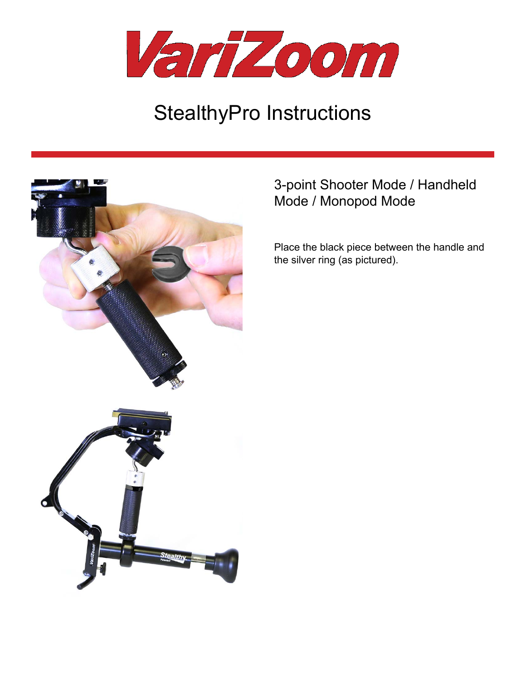

# StealthyPro Instructions



# 3-point Shooter Mode / Handheld Mode / Monopod Mode

Place the black piece between the handle and the silver ring (as pictured).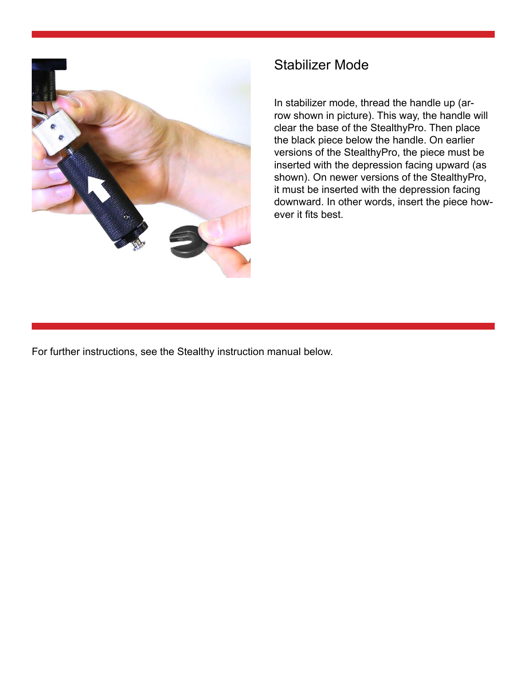

# Stabilizer Mode

In stabilizer mode, thread the handle up (arrow shown in picture). This way, the handle will clear the base of the StealthyPro. Then place the black piece below the handle. On earlier versions of the StealthyPro, the piece must be inserted with the depression facing upward (as shown). On newer versions of the StealthyPro, it must be inserted with the depression facing downward. In other words, insert the piece however it fits best.

For further instructions, see the Stealthy instruction manual below.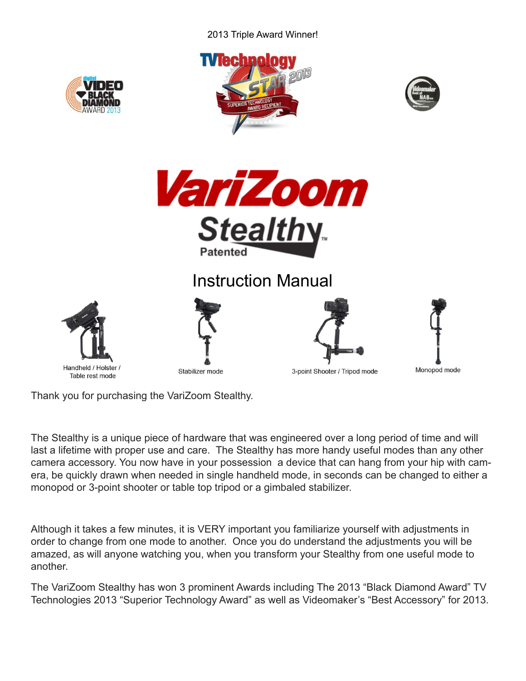#### 2013 Triple Award Winner!



Thank you for purchasing the VariZoom Stealthy.

The Stealthy is a unique piece of hardware that was engineered over a long period of time and will last a lifetime with proper use and care. The Stealthy has more handy useful modes than any other camera accessory. You now have in your possession a device that can hang from your hip with camera, be quickly drawn when needed in single handheld mode, in seconds can be changed to either a monopod or 3-point shooter or table top tripod or a gimbaled stabilizer.

Although it takes a few minutes, it is VERY important you familiarize yourself with adjustments in order to change from one mode to another. Once you do understand the adjustments you will be amazed, as will anyone watching you, when you transform your Stealthy from one useful mode to another.

The VariZoom Stealthy has won 3 prominent Awards including The 2013 "Black Diamond Award" TV Technologies 2013 "Superior Technology Award" as well as Videomaker's "Best Accessory" for 2013.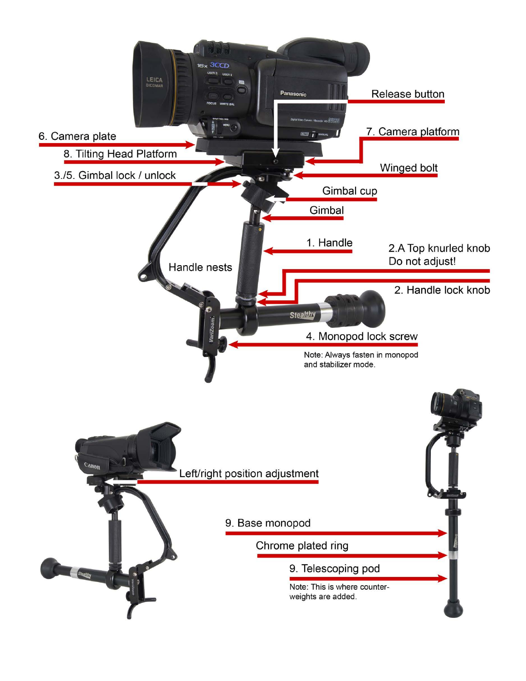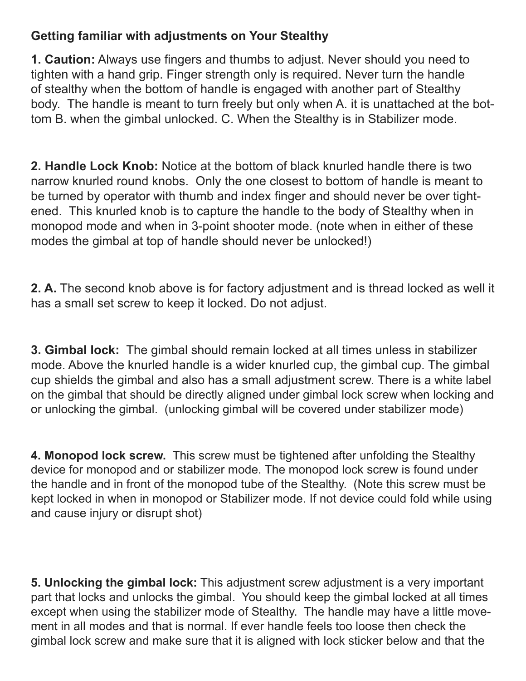# **Getting familiar with adjustments on Your Stealthy**

**1. Caution:** Always use fingers and thumbs to adjust. Never should you need to tighten with a hand grip. Finger strength only is required. Never turn the handle of stealthy when the bottom of handle is engaged with another part of Stealthy body. The handle is meant to turn freely but only when A. it is unattached at the bottom B. when the gimbal unlocked. C. When the Stealthy is in Stabilizer mode.

**2. Handle Lock Knob:** Notice at the bottom of black knurled handle there is two narrow knurled round knobs. Only the one closest to bottom of handle is meant to be turned by operator with thumb and index finger and should never be over tightened. This knurled knob is to capture the handle to the body of Stealthy when in monopod mode and when in 3-point shooter mode. (note when in either of these modes the gimbal at top of handle should never be unlocked!)

**2. A.** The second knob above is for factory adjustment and is thread locked as well it has a small set screw to keep it locked. Do not adjust.

**3. Gimbal lock:** The gimbal should remain locked at all times unless in stabilizer mode. Above the knurled handle is a wider knurled cup, the gimbal cup. The gimbal cup shields the gimbal and also has a small adjustment screw. There is a white label on the gimbal that should be directly aligned under gimbal lock screw when locking and or unlocking the gimbal. (unlocking gimbal will be covered under stabilizer mode)

**4. Monopod lock screw.** This screw must be tightened after unfolding the Stealthy device for monopod and or stabilizer mode. The monopod lock screw is found under the handle and in front of the monopod tube of the Stealthy. (Note this screw must be kept locked in when in monopod or Stabilizer mode. If not device could fold while using and cause injury or disrupt shot)

**5. Unlocking the gimbal lock:** This adjustment screw adjustment is a very important part that locks and unlocks the gimbal. You should keep the gimbal locked at all times except when using the stabilizer mode of Stealthy. The handle may have a little movement in all modes and that is normal. If ever handle feels too loose then check the gimbal lock screw and make sure that it is aligned with lock sticker below and that the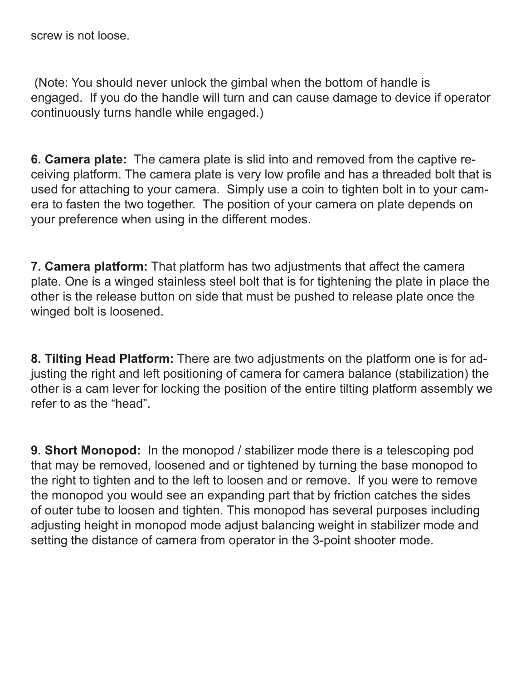screw is not loose.

(Note: You should never unlock the gimbal when the bottom of handle is engaged. If you do the handle will turn and can cause damage to device if operator continuously turns handle while engaged.)

**6. Camera plate:** The camera plate is slid into and removed from the captive receiving platform. The camera plate is very low profile and has a threaded bolt that is used for attaching to your camera. Simply use a coin to tighten bolt in to your camera to fasten the two together. The position of your camera on plate depends on your preference when using in the different modes.

**7. Camera platform:** That platform has two adjustments that affect the camera plate. One is a winged stainless steel bolt that is for tightening the plate in place the other is the release button on side that must be pushed to release plate once the winged bolt is loosened.

**8. Tilting Head Platform:** There are two adjustments on the platform one is for adjusting the right and left positioning of camera for camera balance (stabilization) the other is a cam lever for locking the position of the entire tilting platform assembly we refer to as the "head".

**9. Short Monopod:** In the monopod / stabilizer mode there is a telescoping pod that may be removed, loosened and or tightened by turning the base monopod to the right to tighten and to the left to loosen and or remove. If you were to remove the monopod you would see an expanding part that by friction catches the sides of outer tube to loosen and tighten. This monopod has several purposes including adjusting height in monopod mode adjust balancing weight in stabilizer mode and setting the distance of camera from operator in the 3-point shooter mode.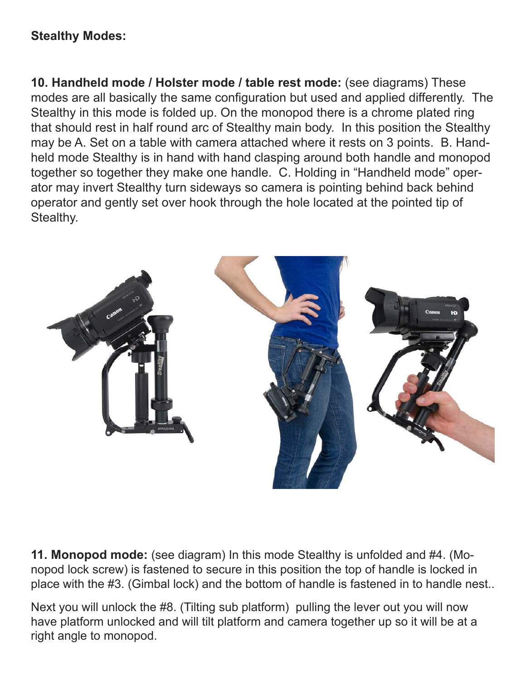### **Stealthy Modes:**

**10. Handheld mode / Holster mode / table rest mode:** (see diagrams) These modes are all basically the same configuration but used and applied differently. The Stealthy in this mode is folded up. On the monopod there is a chrome plated ring that should rest in half round arc of Stealthy main body. In this position the Stealthy may be A. Set on a table with camera attached where it rests on 3 points. B. Handheld mode Stealthy is in hand with hand clasping around both handle and monopod together so together they make one handle. C. Holding in "Handheld mode" operator may invert Stealthy turn sideways so camera is pointing behind back behind operator and gently set over hook through the hole located at the pointed tip of Stealthy.



**11. Monopod mode:** (see diagram) In this mode Stealthy is unfolded and #4. (Monopod lock screw) is fastened to secure in this position the top of handle is locked in place with the #3. (Gimbal lock) and the bottom of handle is fastened in to handle nest..

Next you will unlock the #8. (Tilting sub platform) pulling the lever out you will now have platform unlocked and will tilt platform and camera together up so it will be at a right angle to monopod.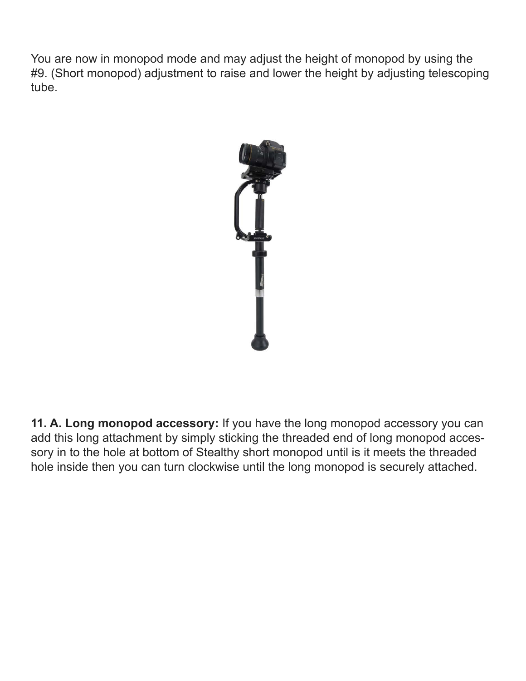You are now in monopod mode and may adjust the height of monopod by using the #9. (Short monopod) adjustment to raise and lower the height by adjusting telescoping tube.



**11. A. Long monopod accessory:** If you have the long monopod accessory you can add this long attachment by simply sticking the threaded end of long monopod accessory in to the hole at bottom of Stealthy short monopod until is it meets the threaded hole inside then you can turn clockwise until the long monopod is securely attached.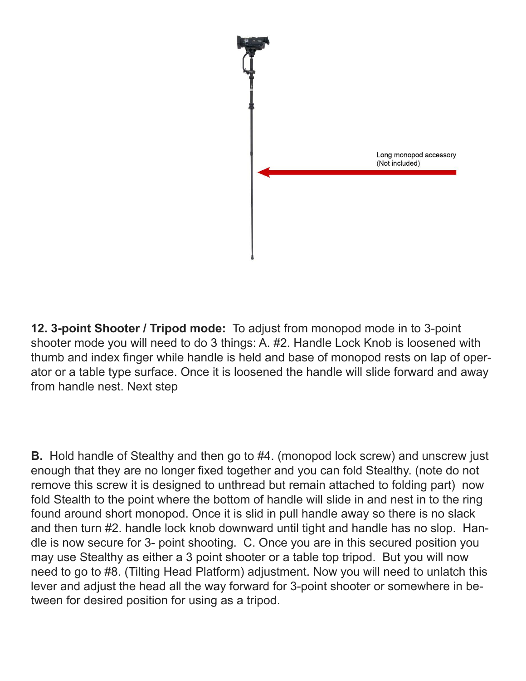

**12. 3-point Shooter / Tripod mode:** To adjust from monopod mode in to 3-point shooter mode you will need to do 3 things: A. #2. Handle Lock Knob is loosened with thumb and index finger while handle is held and base of monopod rests on lap of operator or a table type surface. Once it is loosened the handle will slide forward and away from handle nest. Next step

**B.** Hold handle of Stealthy and then go to #4. (monopod lock screw) and unscrew just enough that they are no longer fixed together and you can fold Stealthy. (note do not remove this screw it is designed to unthread but remain attached to folding part) now fold Stealth to the point where the bottom of handle will slide in and nest in to the ring found around short monopod. Once it is slid in pull handle away so there is no slack and then turn #2. handle lock knob downward until tight and handle has no slop. Handle is now secure for 3- point shooting. C. Once you are in this secured position you may use Stealthy as either a 3 point shooter or a table top tripod. But you will now need to go to #8. (Tilting Head Platform) adjustment. Now you will need to unlatch this lever and adjust the head all the way forward for 3-point shooter or somewhere in between for desired position for using as a tripod.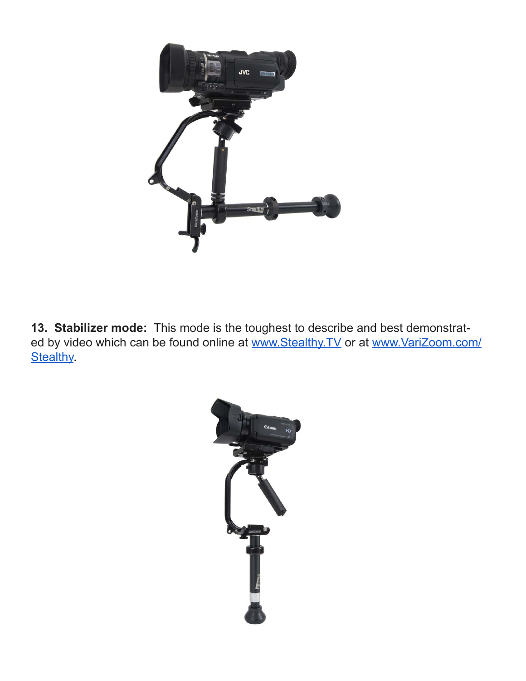

**13. Stabilizer mode:** This mode is the toughest to describe and best demonstrated by video which can be found online at www.Stealthy.TV or at www.VariZoom.com/ **Stealthy.**